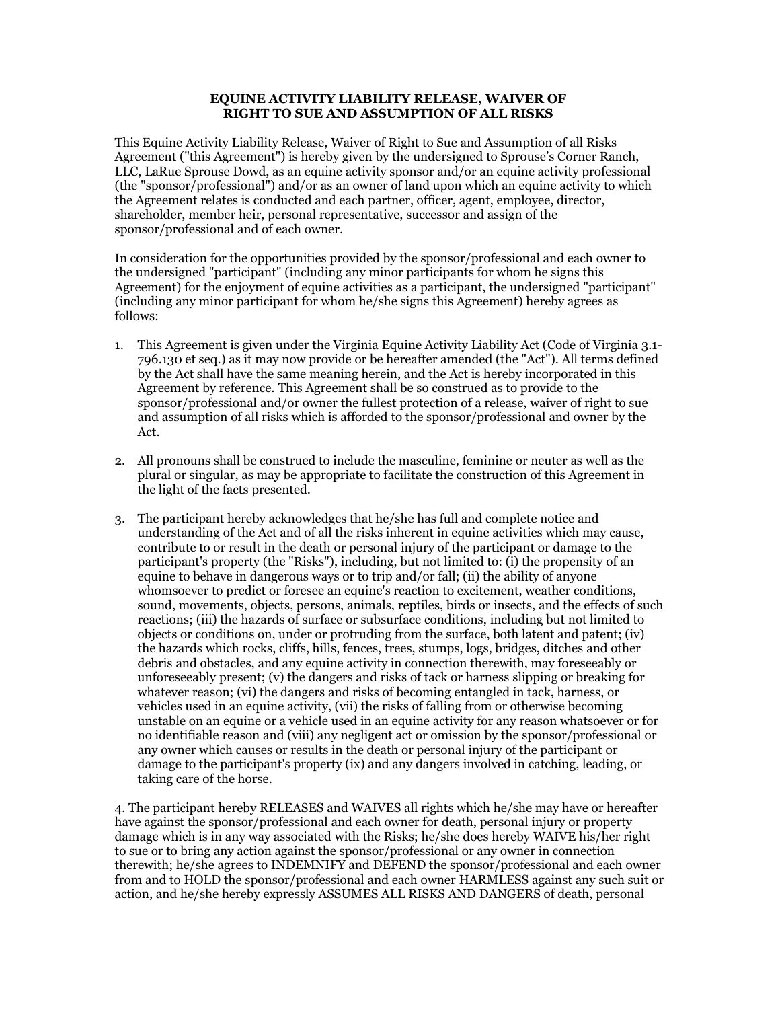## **EQUINE ACTIVITY LIABILITY RELEASE, WAIVER OF RIGHT TO SUE AND ASSUMPTION OF ALL RISKS**

This Equine Activity Liability Release, Waiver of Right to Sue and Assumption of all Risks Agreement ("this Agreement") is hereby given by the undersigned to Sprouse's Corner Ranch, LLC, LaRue Sprouse Dowd, as an equine activity sponsor and/or an equine activity professional (the "sponsor/professional") and/or as an owner of land upon which an equine activity to which the Agreement relates is conducted and each partner, officer, agent, employee, director, shareholder, member heir, personal representative, successor and assign of the sponsor/professional and of each owner.

In consideration for the opportunities provided by the sponsor/professional and each owner to the undersigned "participant" (including any minor participants for whom he signs this Agreement) for the enjoyment of equine activities as a participant, the undersigned "participant" (including any minor participant for whom he/she signs this Agreement) hereby agrees as follows:

- 1. This Agreement is given under the Virginia Equine Activity Liability Act (Code of Virginia 3.1- 796.130 et seq.) as it may now provide or be hereafter amended (the "Act"). All terms defined by the Act shall have the same meaning herein, and the Act is hereby incorporated in this Agreement by reference. This Agreement shall be so construed as to provide to the sponsor/professional and/or owner the fullest protection of a release, waiver of right to sue and assumption of all risks which is afforded to the sponsor/professional and owner by the Act.
- 2. All pronouns shall be construed to include the masculine, feminine or neuter as well as the plural or singular, as may be appropriate to facilitate the construction of this Agreement in the light of the facts presented.
- 3. The participant hereby acknowledges that he/she has full and complete notice and understanding of the Act and of all the risks inherent in equine activities which may cause, contribute to or result in the death or personal injury of the participant or damage to the participant's property (the "Risks"), including, but not limited to: (i) the propensity of an equine to behave in dangerous ways or to trip and/or fall; (ii) the ability of anyone whomsoever to predict or foresee an equine's reaction to excitement, weather conditions, sound, movements, objects, persons, animals, reptiles, birds or insects, and the effects of such reactions; (iii) the hazards of surface or subsurface conditions, including but not limited to objects or conditions on, under or protruding from the surface, both latent and patent; (iv) the hazards which rocks, cliffs, hills, fences, trees, stumps, logs, bridges, ditches and other debris and obstacles, and any equine activity in connection therewith, may foreseeably or unforeseeably present; (v) the dangers and risks of tack or harness slipping or breaking for whatever reason; (vi) the dangers and risks of becoming entangled in tack, harness, or vehicles used in an equine activity, (vii) the risks of falling from or otherwise becoming unstable on an equine or a vehicle used in an equine activity for any reason whatsoever or for no identifiable reason and (viii) any negligent act or omission by the sponsor/professional or any owner which causes or results in the death or personal injury of the participant or damage to the participant's property (ix) and any dangers involved in catching, leading, or taking care of the horse.

4. The participant hereby RELEASES and WAIVES all rights which he/she may have or hereafter have against the sponsor/professional and each owner for death, personal injury or property damage which is in any way associated with the Risks; he/she does hereby WAIVE his/her right to sue or to bring any action against the sponsor/professional or any owner in connection therewith; he/she agrees to INDEMNIFY and DEFEND the sponsor/professional and each owner from and to HOLD the sponsor/professional and each owner HARMLESS against any such suit or action, and he/she hereby expressly ASSUMES ALL RISKS AND DANGERS of death, personal